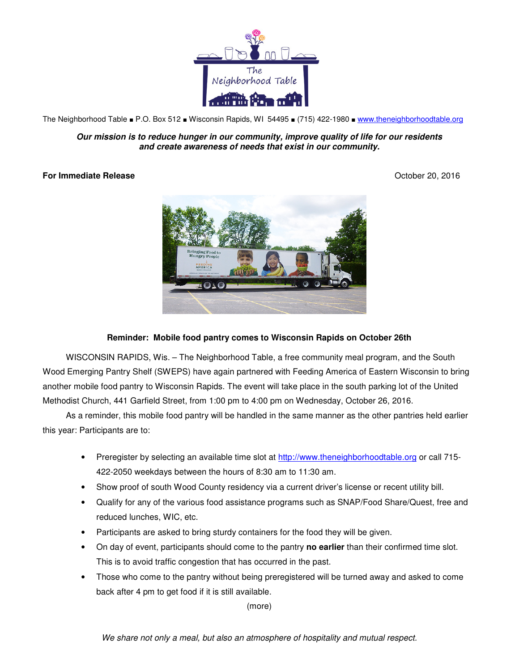

The Neighborhood Table ■ P.O. Box 512 ■ Wisconsin Rapids, WI 54495 ■ (715) 422-1980 ■ www.theneighborhoodtable.org

**Our mission is to reduce hunger in our community, improve quality of life for our residents and create awareness of needs that exist in our community.**

## **For Immediate Release** October 20, 2016



## **Reminder: Mobile food pantry comes to Wisconsin Rapids on October 26th**

WISCONSIN RAPIDS, Wis. – The Neighborhood Table, a free community meal program, and the South Wood Emerging Pantry Shelf (SWEPS) have again partnered with Feeding America of Eastern Wisconsin to bring another mobile food pantry to Wisconsin Rapids. The event will take place in the south parking lot of the United Methodist Church, 441 Garfield Street, from 1:00 pm to 4:00 pm on Wednesday, October 26, 2016.

As a reminder, this mobile food pantry will be handled in the same manner as the other pantries held earlier this year: Participants are to:

- Preregister by selecting an available time slot at http://www.theneighborhoodtable.org or call 715-422-2050 weekdays between the hours of 8:30 am to 11:30 am.
- Show proof of south Wood County residency via a current driver's license or recent utility bill.
- Qualify for any of the various food assistance programs such as SNAP/Food Share/Quest, free and reduced lunches, WIC, etc.
- Participants are asked to bring sturdy containers for the food they will be given.
- On day of event, participants should come to the pantry **no earlier** than their confirmed time slot. This is to avoid traffic congestion that has occurred in the past.
- Those who come to the pantry without being preregistered will be turned away and asked to come back after 4 pm to get food if it is still available.

(more)

We share not only a meal, but also an atmosphere of hospitality and mutual respect.